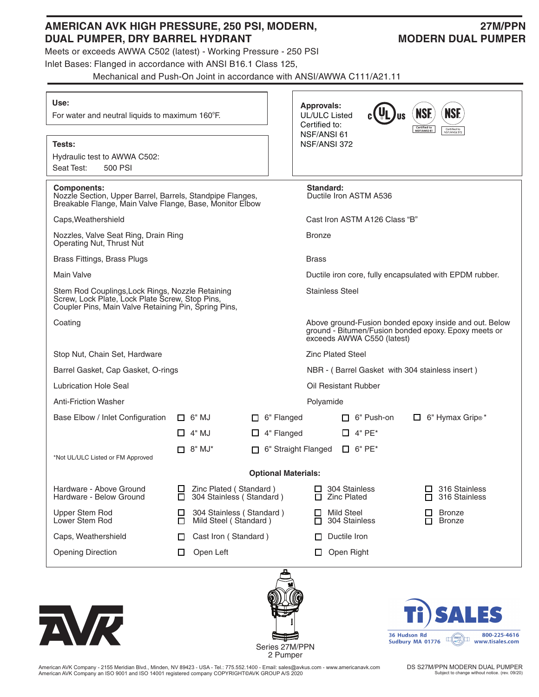## **AMERICAN AVK HIGH PRESSURE, 250 PSI, MODERN, 27M/PPN DUAL PUMPER, DRY BARREL HYDRANT MODERN DUAL PUMPER**

Meets or exceeds AWWA C502 (latest) - Working Pressure - 250 PSI

Inlet Bases: Flanged in accordance with ANSI B16.1 Class 125,

Mechanical and Push-On Joint in accordance with ANSI/AWWA C111/A21.11

| Use:<br>For water and neutral liquids to maximum 160°F.                                                                                                     |                           |                                                           | <b>Approvals:</b><br>UL/ULC Listed<br>Certified to: | US                                                                                                                                           | <b>NSF.</b><br><b>NSF.</b><br>Certified to<br>NSF/ANSI 61<br>Certified to<br>NSF/ANSI 372 |  |  |  |  |
|-------------------------------------------------------------------------------------------------------------------------------------------------------------|---------------------------|-----------------------------------------------------------|-----------------------------------------------------|----------------------------------------------------------------------------------------------------------------------------------------------|-------------------------------------------------------------------------------------------|--|--|--|--|
| <b>Tests:</b><br>Hydraulic test to AWWA C502:<br>Seat Test:<br>500 PSI                                                                                      |                           |                                                           | NSF/ANSI 61<br>NSF/ANSI 372                         |                                                                                                                                              |                                                                                           |  |  |  |  |
| <b>Components:</b><br>Nozzle Section, Upper Barrel, Barrels, Standpipe Flanges,<br>Breakable Flange, Main Valve Flange, Base, Monitor Elbow                 |                           |                                                           | Standard:<br>Ductile Iron ASTM A536                 |                                                                                                                                              |                                                                                           |  |  |  |  |
| Caps, Weathershield                                                                                                                                         |                           |                                                           |                                                     |                                                                                                                                              | Cast Iron ASTM A126 Class "B"                                                             |  |  |  |  |
| Nozzles, Valve Seat Ring, Drain Ring<br>Operating Nut, Thrust Nut                                                                                           |                           |                                                           |                                                     | <b>Bronze</b>                                                                                                                                |                                                                                           |  |  |  |  |
| Brass Fittings, Brass Plugs                                                                                                                                 |                           |                                                           |                                                     | <b>Brass</b>                                                                                                                                 |                                                                                           |  |  |  |  |
| <b>Main Valve</b>                                                                                                                                           |                           |                                                           |                                                     | Ductile iron core, fully encapsulated with EPDM rubber.                                                                                      |                                                                                           |  |  |  |  |
| Stem Rod Couplings, Lock Rings, Nozzle Retaining<br>Screw, Lock Plate, Lock Plate Screw, Stop Pins,<br>Coupler Pins, Main Valve Retaining Pin, Spring Pins, |                           |                                                           |                                                     | Stainless Steel                                                                                                                              |                                                                                           |  |  |  |  |
| Coating                                                                                                                                                     |                           |                                                           |                                                     | Above ground-Fusion bonded epoxy inside and out. Below<br>ground - Bitumen/Fusion bonded epoxy. Epoxy meets or<br>exceeds AWWA C550 (latest) |                                                                                           |  |  |  |  |
| Stop Nut, Chain Set, Hardware                                                                                                                               |                           |                                                           |                                                     | <b>Zinc Plated Steel</b>                                                                                                                     |                                                                                           |  |  |  |  |
| Barrel Gasket, Cap Gasket, O-rings                                                                                                                          |                           |                                                           |                                                     | NBR - (Barrel Gasket with 304 stainless insert)                                                                                              |                                                                                           |  |  |  |  |
| <b>Lubrication Hole Seal</b>                                                                                                                                |                           |                                                           |                                                     | Oil Resistant Rubber                                                                                                                         |                                                                                           |  |  |  |  |
| <b>Anti-Friction Washer</b>                                                                                                                                 |                           |                                                           |                                                     | Polyamide                                                                                                                                    |                                                                                           |  |  |  |  |
| Base Elbow / Inlet Configuration                                                                                                                            | $\Box$ 6" MJ              | 6" Flanged<br>Ш                                           |                                                     | $\Box$ 6" Push-on                                                                                                                            | $\Box$ 6" Hymax Grip <sup>®*</sup>                                                        |  |  |  |  |
|                                                                                                                                                             | $\Box$ 4" MJ              | 4" Flanged<br>ப                                           |                                                     | $\Box$ 4" PE*                                                                                                                                |                                                                                           |  |  |  |  |
| *Not UL/ULC Listed or FM Approved                                                                                                                           | $\Box$ 8" MJ*             | 6" Straight Flanged<br>П.                                 |                                                     | $\Box$ 6" PE*                                                                                                                                |                                                                                           |  |  |  |  |
|                                                                                                                                                             |                           | <b>Optional Materials:</b>                                |                                                     |                                                                                                                                              |                                                                                           |  |  |  |  |
| Hardware - Above Ground<br>Hardware - Below Ground                                                                                                          | □                         | $\Box$ Zinc Plated (Standard)<br>304 Stainless (Standard) |                                                     | $\Box$ 304 Stainless<br><b>Zinc Plated</b>                                                                                                   | $\Box$ 316 Stainless<br>$\Box$ 316 Stainless                                              |  |  |  |  |
| Upper Stem Rod<br>Lower Stem Rod                                                                                                                            | ப<br>□                    | 304 Stainless (Standard)<br>Mild Steel (Standard)         |                                                     | <b>Mild Steel</b><br>304 Stainless                                                                                                           | <b>Bronze</b><br>⊔<br><b>Bronze</b><br>П.                                                 |  |  |  |  |
| Caps, Weathershield                                                                                                                                         | Cast Iron (Standard)<br>ப |                                                           | Ductile Iron                                        |                                                                                                                                              |                                                                                           |  |  |  |  |
| <b>Opening Direction</b>                                                                                                                                    | Open Left<br>ப            |                                                           |                                                     | Open Right                                                                                                                                   |                                                                                           |  |  |  |  |
|                                                                                                                                                             |                           |                                                           |                                                     |                                                                                                                                              | <b>EALEC</b>                                                                              |  |  |  |  |





**DALES** HI J 800-225-4616 36 Hudson Rd  $\frac{36 \text{ Husson Rd}}{500 \text{ Huson Rd}}$  Sudbury MA 01776

American AVK Company - 2155 Meridian Blvd., Minden, NV 89423 - USA - Tel.: 775.552.1400 - Email: sales@avkus.com - www.americanavk.com American AVK Company an ISO 9001 and ISO 14001 registered company COPYRIGHT©AVK GROUP A/S 2020

DS S27M/PPN MODERN DUAL PUMPER Subject to change without notice. (rev. 09/20)